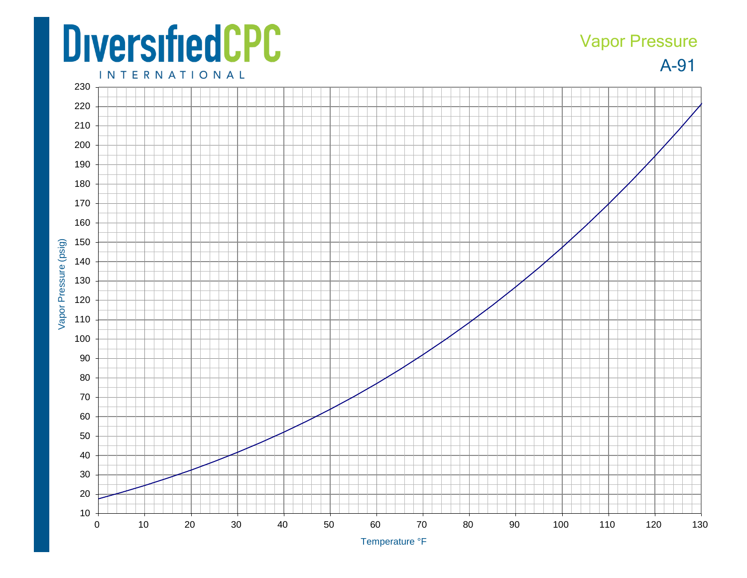## **DiversifiedCPC**

## A -91 Vapor Pressure

**INTERNATIONAL**